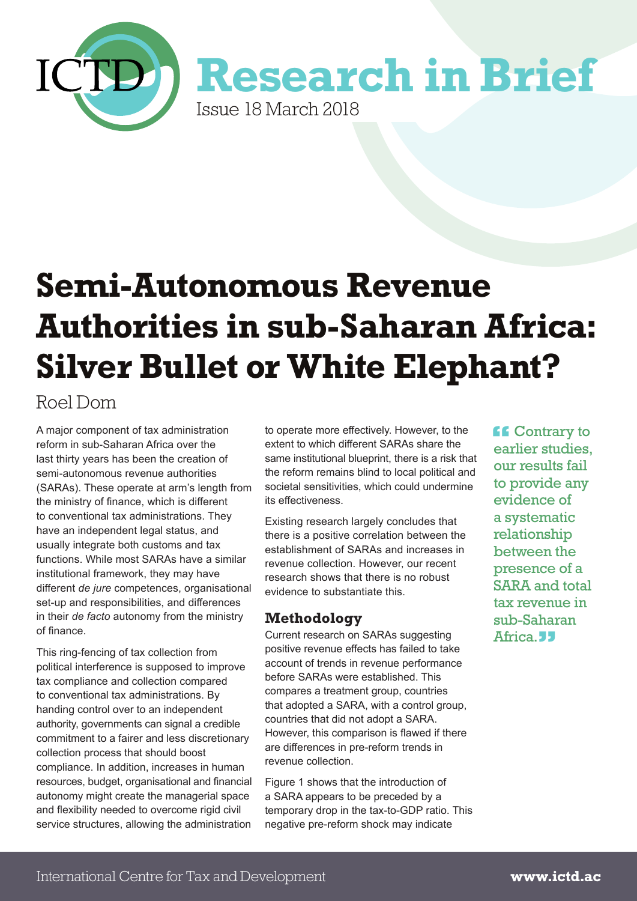

# **Semi-Autonomous Revenue Authorities in sub-Saharan Africa: Silver Bullet or White Elephant?**

# Roel Dom

A major component of tax administration reform in sub-Saharan Africa over the last thirty years has been the creation of semi-autonomous revenue authorities (SARAs). These operate at arm's length from the ministry of finance, which is different to conventional tax administrations. They have an independent legal status, and usually integrate both customs and tax functions. While most SARAs have a similar institutional framework, they may have different *de jure* competences, organisational set-up and responsibilities, and differences in their *de facto* autonomy from the ministry of finance.

This ring-fencing of tax collection from political interference is supposed to improve tax compliance and collection compared to conventional tax administrations. By handing control over to an independent authority, governments can signal a credible commitment to a fairer and less discretionary collection process that should boost compliance. In addition, increases in human resources, budget, organisational and financial autonomy might create the managerial space and flexibility needed to overcome rigid civil service structures, allowing the administration

to operate more effectively. However, to the extent to which different SARAs share the same institutional blueprint, there is a risk that the reform remains blind to local political and societal sensitivities, which could undermine its effectiveness.

Existing research largely concludes that there is a positive correlation between the establishment of SARAs and increases in revenue collection. However, our recent research shows that there is no robust evidence to substantiate this.

# **Methodology**

Current research on SARAs suggesting positive revenue effects has failed to take account of trends in revenue performance before SARAs were established. This compares a treatment group, countries that adopted a SARA, with a control group, countries that did not adopt a SARA. However, this comparison is flawed if there are differences in pre-reform trends in revenue collection.

Figure 1 shows that the introduction of a SARA appears to be preceded by a temporary drop in the tax-to-GDP ratio. This negative pre-reform shock may indicate

**f** Contrary to<br>earlier studies earlier studies, our results fail to provide any evidence of a systematic relationship between the presence of a SARA and total tax revenue in sub-Saharan Africa. **JJ**